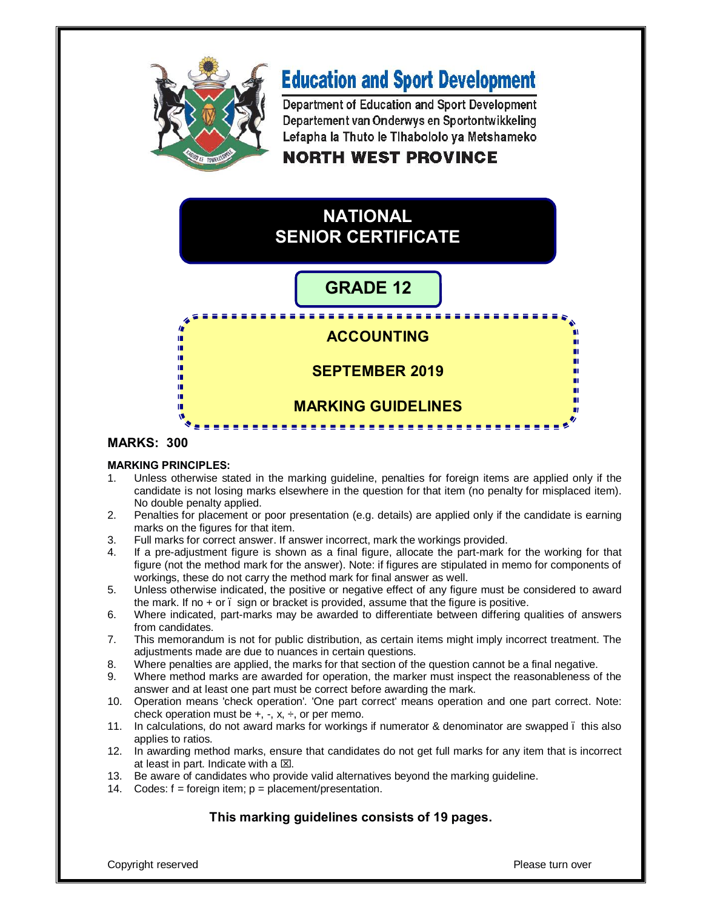

# **Education and Sport Development**

Department of Education and Sport Development Departement van Onderwys en Sportontwikkeling Lefapha la Thuto le Tihabololo ya Metshameko

# **NORTH WEST PROVINCE**

# **NATIONAL SENIOR CERTIFICATE**

# **GRADE 12**

# <u>. . . . . . . . . . . . . . . . . .</u> **ACCOUNTING SEPTEMBER 2019 MARKING GUIDELINES**

#### **MARKS: 300**

#### **MARKING PRINCIPLES:**

n. ۱Ū, ı. IÌ. ıń. ш ú. ń

- 1. Unless otherwise stated in the marking guideline, penalties for foreign items are applied only if the candidate is not losing marks elsewhere in the question for that item (no penalty for misplaced item). No double penalty applied.
- 2. Penalties for placement or poor presentation (e.g. details) are applied only if the candidate is earning marks on the figures for that item.
- 3. Full marks for correct answer. If answer incorrect, mark the workings provided.
- 4. If a pre-adjustment figure is shown as a final figure, allocate the part-mark for the working for that figure (not the method mark for the answer). Note: if figures are stipulated in memo for components of workings, these do not carry the method mark for final answer as well.
- 5. Unless otherwise indicated, the positive or negative effect of any figure must be considered to award the mark. If no  $+$  or  $\overline{\phantom{a}}$  sign or bracket is provided, assume that the figure is positive.
- 6. Where indicated, part-marks may be awarded to differentiate between differing qualities of answers from candidates.
- 7. This memorandum is not for public distribution, as certain items might imply incorrect treatment. The adjustments made are due to nuances in certain questions.
- 8. Where penalties are applied, the marks for that section of the question cannot be a final negative.
- 9. Where method marks are awarded for operation, the marker must inspect the reasonableness of the answer and at least one part must be correct before awarding the mark.
- 10. Operation means 'check operation'. 'One part correct' means operation and one part correct. Note: check operation must be  $+$ ,  $-$ ,  $x$ ,  $\div$ , or per memo.
- 11. In calculations, do not award marks for workings if numerator & denominator are swapped this also applies to ratios.
- 12. In awarding method marks, ensure that candidates do not get full marks for any item that is incorrect at least in part. Indicate with a  $\boxtimes$ .
- 13. Be aware of candidates who provide valid alternatives beyond the marking guideline.
- 14. Codes:  $f =$  foreign item;  $p =$  placement/presentation.

#### **This marking guidelines consists of 19 pages.**

Copyright reserved **Please turn over the Copyright reserved Please turn over the Please turn over**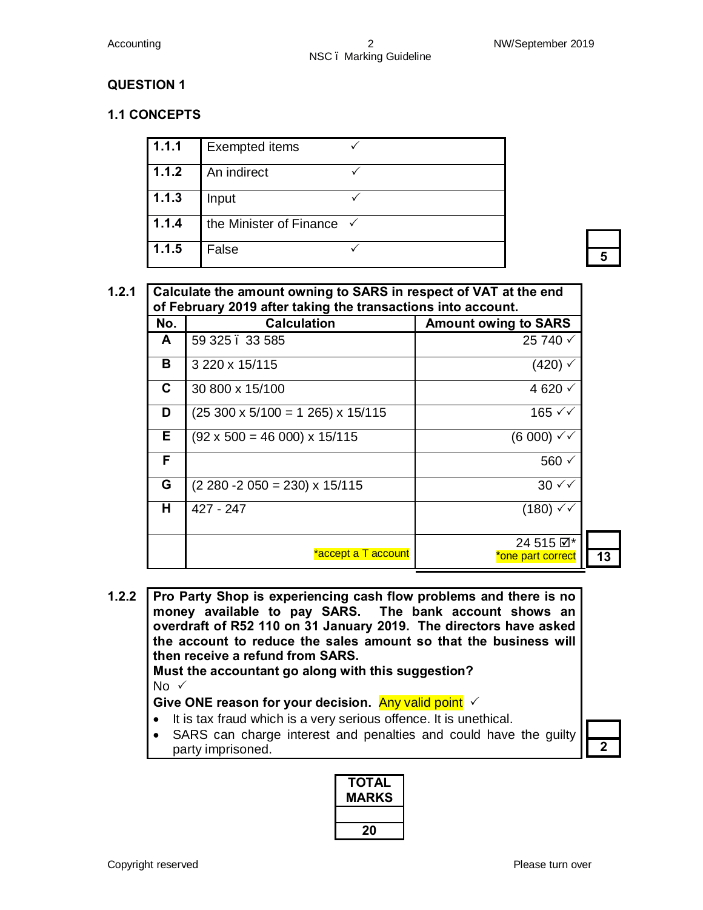#### **1.1 CONCEPTS**

| 1.1.1 | <b>Exempted items</b>                |   |
|-------|--------------------------------------|---|
| 1.1.2 | An indirect                          |   |
| 1.1.3 | Input                                |   |
| 1.1.4 | the Minister of Finance $\checkmark$ |   |
| 1.1.5 | False                                | E |

| No. | <b>Calculation</b>                              | <b>Amount owing to SARS</b> |
|-----|-------------------------------------------------|-----------------------------|
| A   | 59 325 . 33 585                                 | 25 740 √                    |
| в   | 3 220 x 15/115                                  | $(420)$ $\checkmark$        |
| С   | 30 800 x 15/100                                 | 4 620 $\sqrt{ }$            |
| D   | $(25\,300 \times 5/100 = 1\,265) \times 15/115$ | 165 $\checkmark$            |
| E.  | $(92 \times 500 = 46 000) \times 15/115$        | $(6 000) \sqrt{2}$          |
| F   |                                                 | 560 √                       |
| G   | $(2 280 - 2 050 = 230) \times 15/115$           | $30 \sqrt{2}$               |
| н   | 427 - 247                                       | $(180) \sqrt{2}$            |
|     |                                                 | 24 515 $\boxtimes^*$        |
|     | <u>*accept a T account</u>                      | *one part correct           |

**1.2.2 Pro Party Shop is experiencing cash flow problems and there is no money available to pay SARS. The bank account shows an overdraft of R52 110 on 31 January 2019. The directors have asked the account to reduce the sales amount so that the business will then receive a refund from SARS. Must the accountant go along with this suggestion?**  No  $\checkmark$ Give ONE reason for your decision. Any valid point  $\checkmark$ · It is tax fraud which is a very serious offence. It is unethical.

· SARS can charge interest and penalties and could have the guilty party imprisoned. **2** 

**TOTAL MARKS 20**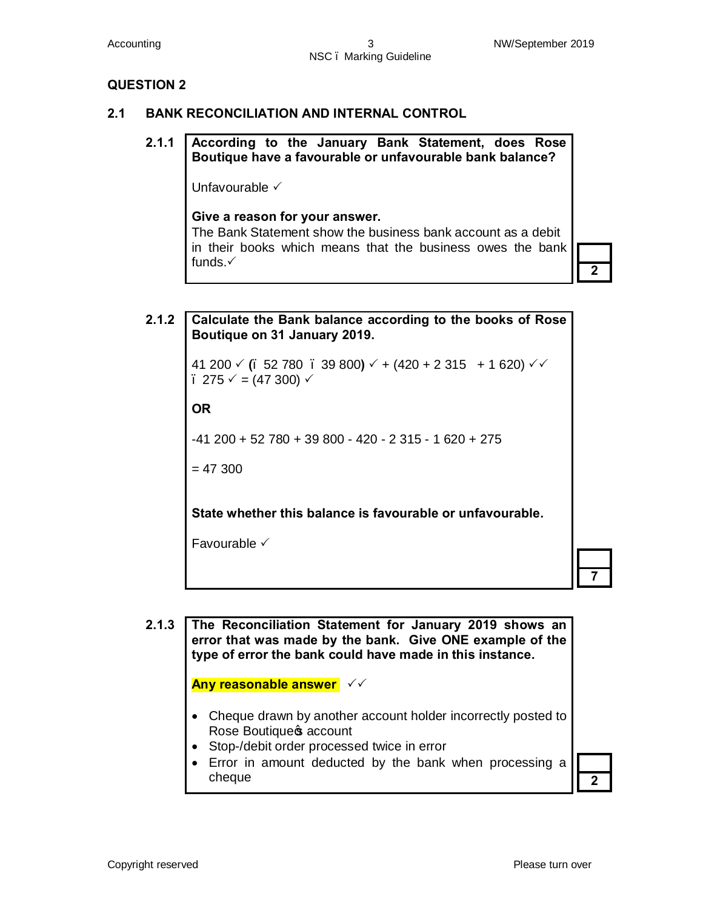#### **2.1 BANK RECONCILIATION AND INTERNAL CONTROL**

### **2.1.1 According to the January Bank Statement, does Rose Boutique have a favourable or unfavourable bank balance?**

Unfavourable  $\checkmark$ 

#### **Give a reason for your answer.**

The Bank Statement show the business bank account as a debit in their books which means that the business owes the bank funds. $\checkmark$ 



**2.1.2 Calculate the Bank balance according to the books of Rose Boutique on 31 January 2019.**  41 200 √ **(**, 52 780 , 39 800**)** √ + (420 + 2 315 + 1 620) √ √  $-275 \checkmark$  = (47 300)  $\checkmark$ **OR** -41 200 + 52 780 + 39 800 - 420 - 2 315 - 1 620 + 275  $= 47,300$ **State whether this balance is favourable or unfavourable.** Favourable  $\checkmark$ 



**2.1.3 The Reconciliation Statement for January 2019 shows an error that was made by the bank. Give ONE example of the type of error the bank could have made in this instance.**

**Any reasonable answer**  $\checkmark$ 

- Cheque drawn by another account holder incorrectly posted to Rose Boutique<sup>s</sup> account
- · Stop-/debit order processed twice in error
- · Error in amount deducted by the bank when processing a cheque **2**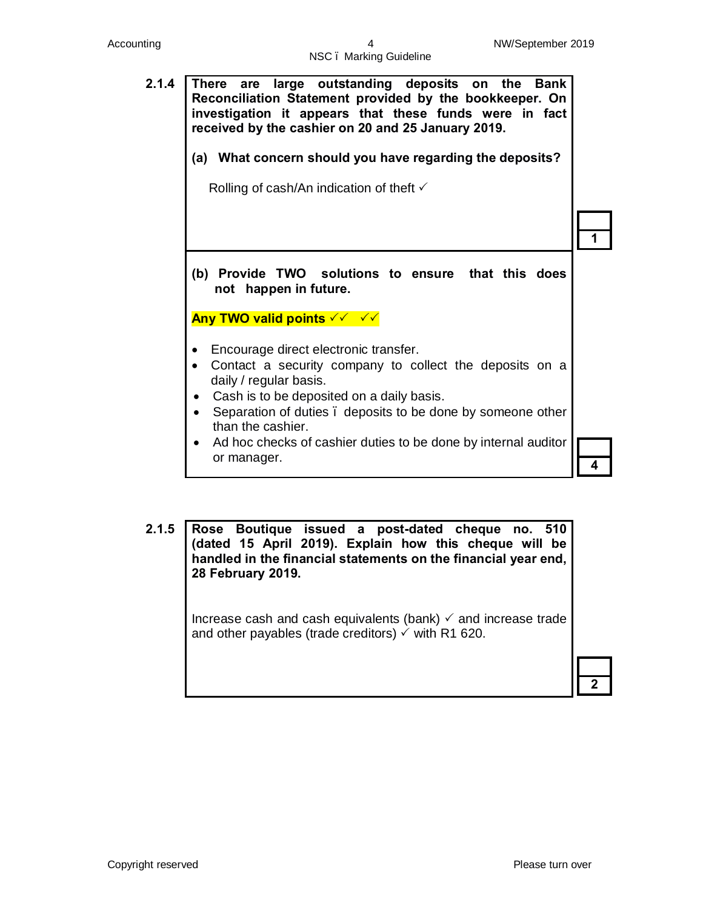

**2.1.5 Rose Boutique issued a post-dated cheque no. 510 (dated 15 April 2019). Explain how this cheque will be handled in the financial statements on the financial year end, 28 February 2019.** Increase cash and cash equivalents (bank)  $\checkmark$  and increase trade and other payables (trade creditors)  $\checkmark$  with R1 620. **2**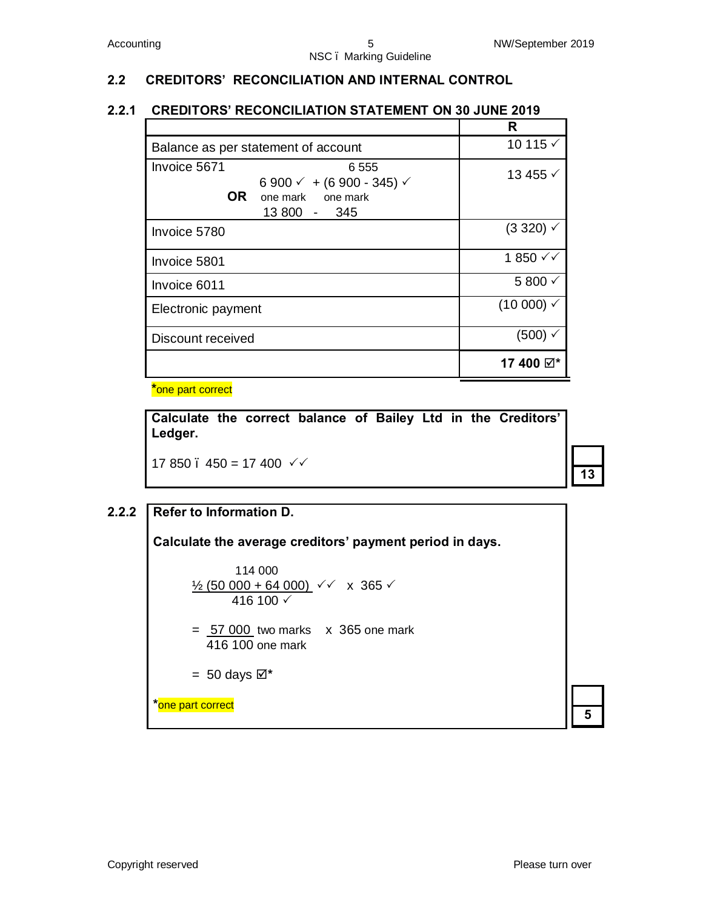# **2.2 CREDITORS' RECONCILIATION AND INTERNAL CONTROL**

## **2.2.1 CREDITORS' RECONCILIATION STATEMENT ON 30 JUNE 2019**

|                                                                                                                              | R                      |
|------------------------------------------------------------------------------------------------------------------------------|------------------------|
| Balance as per statement of account                                                                                          | 10 115 $\checkmark$    |
| Invoice 5671<br>6 5 5 5<br>6 900 $\checkmark$ + (6 900 - 345) $\checkmark$<br><b>OR</b><br>one mark one mark<br>13 800 - 345 | 13 455 √               |
| Invoice 5780                                                                                                                 | $(3320)$ $\checkmark$  |
| Invoice 5801                                                                                                                 | 1850 $√$               |
| Invoice 6011                                                                                                                 | 5800 $\checkmark$      |
| Electronic payment                                                                                                           | $(10000)$ $\checkmark$ |
| Discount received                                                                                                            | (500) √                |
|                                                                                                                              | 17 400 ☑*              |

**\***one part correct

**Calculate the correct balance of Bailey Ltd in the Creditors' Ledger.**

17 850  $\therefore$  450 = 17 400  $\checkmark$ 

# **2.2.2 Refer to Information D. Calculate the average creditors' payment period in days.** 114 000  $\frac{1}{2}$  (50 000 + 64 000)  $\checkmark$  x 365  $\checkmark$ 416 100  $\checkmark$ = 57 000 two marksx 365 one mark 416 100 one mark  $= 50$  days  $\boxtimes^*$ **\***one part correct **<sup>5</sup>**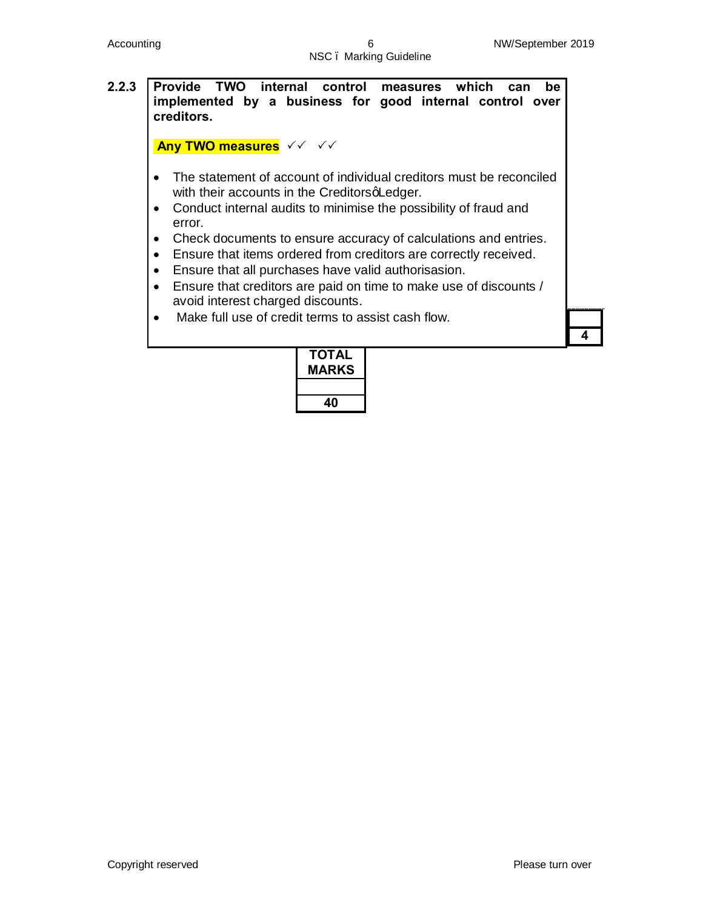# **2.2.3 Provide TWO internal control measures which can be implemented by a business for good internal control over creditors. Any TWO measures**  $\checkmark$   $\checkmark$   $\checkmark$ · The statement of account of individual creditors must be reconciled with their accounts in the CreditorsqLedger. · Conduct internal audits to minimise the possibility of fraud and error. · Check documents to ensure accuracy of calculations and entries. · Ensure that items ordered from creditors are correctly received. · Ensure that all purchases have valid authorisasion. · Ensure that creditors are paid on time to make use of discounts / avoid interest charged discounts. · Make full use of credit terms to assist cash flow. **4**

| ΤΟΤΑL<br><b>MARKS</b> |
|-----------------------|
|                       |
| 40                    |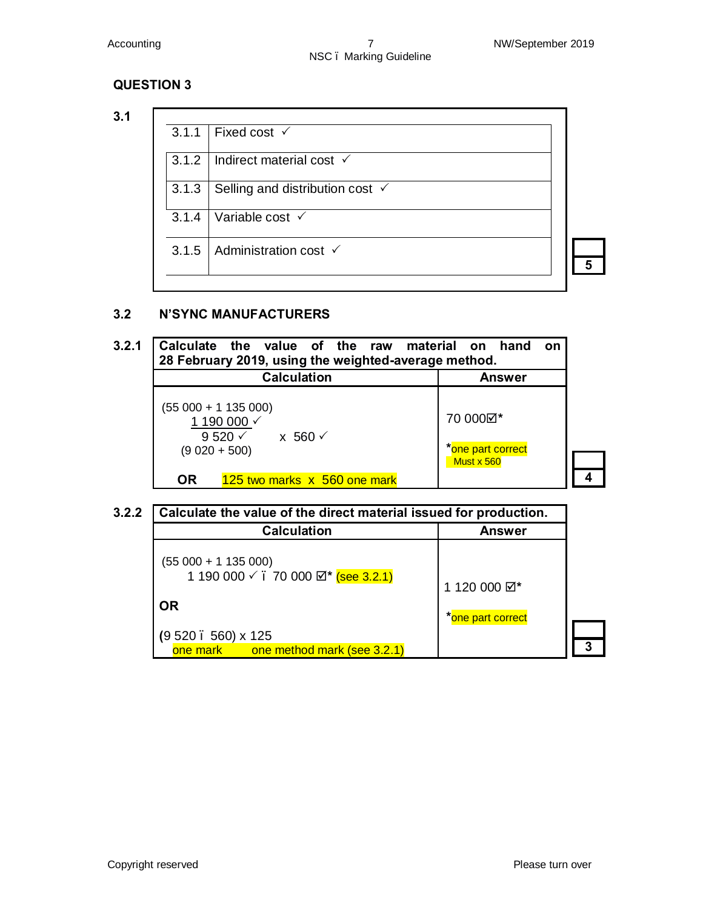### **3.1**

| 3.1.1 | Fixed cost $\checkmark$                    |  |
|-------|--------------------------------------------|--|
| 3.1.2 | Indirect material cost $\checkmark$        |  |
| 3.1.3 | Selling and distribution cost $\checkmark$ |  |
| 3.1.4 | Variable cost $\checkmark$                 |  |
|       | 3.1.5   Administration cost $\checkmark$   |  |
|       |                                            |  |

#### **3.2 N'SYNC MANUFACTURERS**

| 3.2.1 | Calculate the value of the raw material on hand<br>28 February 2019, using the weighted-average method. | on                                          |  |
|-------|---------------------------------------------------------------------------------------------------------|---------------------------------------------|--|
|       | <b>Calculation</b>                                                                                      | Answer                                      |  |
|       | $(55000 + 1135000)$<br>1 190 000 √<br>9 520 $\times$ x 560 $\times$<br>$(9020 + 500)$                   | 70 000⊠*<br>*one part correct<br>Must x 560 |  |
|       | <b>OR</b><br>125 two marks x 560 one mark                                                               |                                             |  |

| <b>Calculation</b>                                         | <b>Answer</b>           |
|------------------------------------------------------------|-------------------------|
| $(55000 + 1135000)$<br>1 190 000 √ . 70 000 Ø* (see 3.2.1) | 1 120 000 $\boxtimes^*$ |
| <b>OR</b>                                                  | *one part correct       |
| $(9520.560) \times 125$                                    |                         |
| one mark one method mark (see 3.2.1)                       |                         |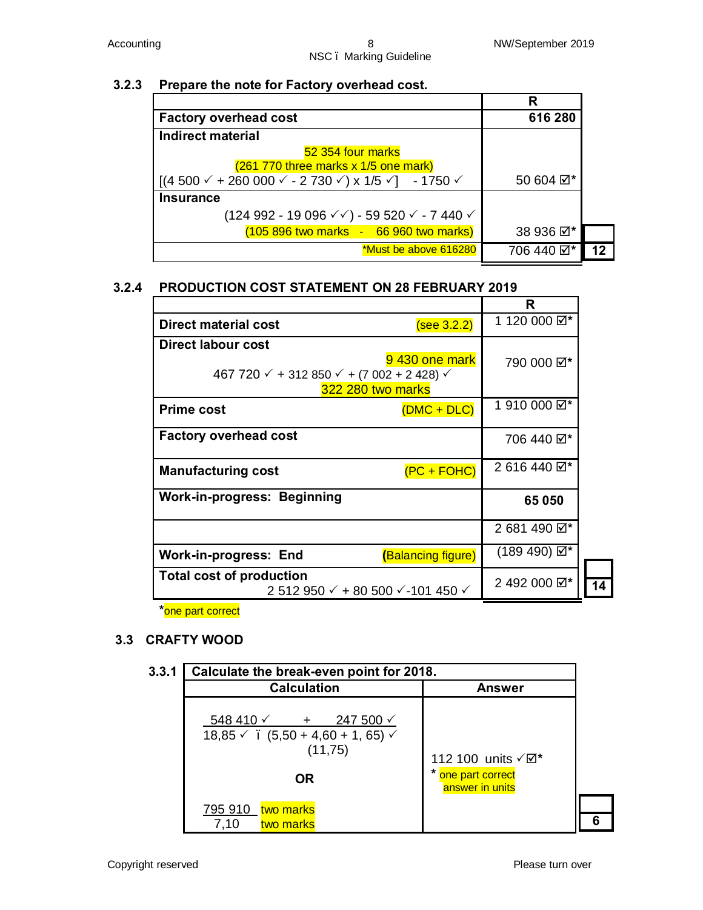#### **3.2.3 Prepare the note for Factory overhead cost.**

| <b>Factory overhead cost</b>                                                                              | 616 280    |  |
|-----------------------------------------------------------------------------------------------------------|------------|--|
| Indirect material                                                                                         |            |  |
| 52 354 four marks                                                                                         |            |  |
| (261 770 three marks x 1/5 one mark)                                                                      |            |  |
| $\left[(4\,500\,\sqrt{+260\,000\,\sqrt{-2\,730\,\sqrt{-1}}} \times 1/5\,\sqrt{-1\,750\,\sqrt{-1}}\right]$ | 50 604 Ø*  |  |
| <b>Insurance</b>                                                                                          |            |  |
| $(124992 - 19096 \sqrt{6}) - 59520 \sqrt{6} - 7440 \sqrt{6}$                                              |            |  |
| (105 896 two marks - 66 960 two marks)                                                                    | 38 936 ⊠*  |  |
| *Must be above 616280                                                                                     | 706 440 Ø* |  |

### **3.2.4 PRODUCTION COST STATEMENT ON 28 FEBRUARY 2019**

|                                                                                                                                               | R                       |    |
|-----------------------------------------------------------------------------------------------------------------------------------------------|-------------------------|----|
| Direct material cost<br>(see 3.2.2)                                                                                                           | 1 120 000 ☑*            |    |
| Direct labour cost<br>9430 one mark<br>467 720 $\checkmark$ + 312 850 $\checkmark$ + (7 002 + 2 428) $\checkmark$<br><b>322 280 two marks</b> | 790 000 ☑*              |    |
| <b>Prime cost</b><br>$(DMC + DLC)$                                                                                                            | 1910 000 $\boxtimes^*$  |    |
| <b>Factory overhead cost</b>                                                                                                                  | 706 440 ⊠*              |    |
| $(PC + FOHC)$<br><b>Manufacturing cost</b>                                                                                                    | 2 616 440 $\boxtimes^*$ |    |
| <b>Work-in-progress: Beginning</b>                                                                                                            | 65 050                  |    |
|                                                                                                                                               | 2 681 490 $\boxtimes^*$ |    |
| Work-in-progress: End<br>(Balancing figure)                                                                                                   | (189 490) ⊠*            |    |
| <b>Total cost of production</b><br>2 512 950 $\checkmark$ + 80 500 $\checkmark$ -101 450 $\checkmark$                                         | 2 492 000 2*            | 14 |

**\***one part correct

### **3.3 CRAFTY WOOD**

| 3.3.1 | Calculate the break-even point for 2018.                                                                    |                                                            |  |
|-------|-------------------------------------------------------------------------------------------------------------|------------------------------------------------------------|--|
|       | <b>Calculation</b>                                                                                          | <b>Answer</b>                                              |  |
|       | $548\,410\,\sqrt{ }$ + 247 500 $\sqrt{ }$<br>$18,85 \times$ (5,50 + 4,60 + 1,65) $\times$<br>(11,75)<br>OR. | 112 100 units √⊠*<br>* one part correct<br>answer in units |  |
|       | 795 910 two marks<br>7,10<br>two marks                                                                      |                                                            |  |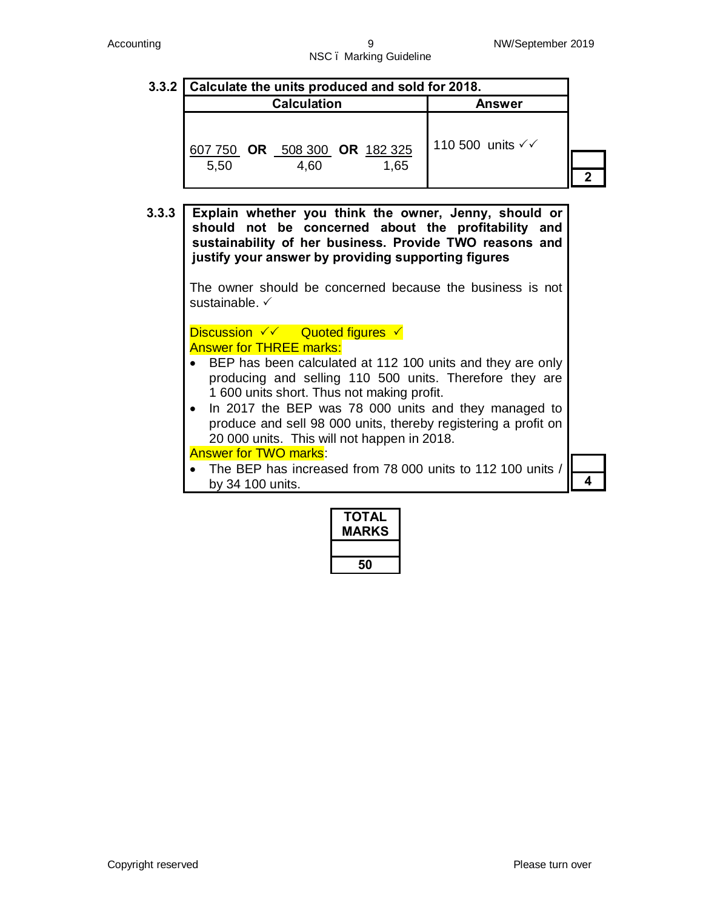# **3.3.2 Calculate the units produced and sold for 2018. Calculation Answer** 607 750 **OR** 508 300 **OR** 182 325 5,50 4,60 1,65 110 500 units  $\checkmark\checkmark$ **2**

**3.3.3 Explain whether you think the owner, Jenny, should or should not be concerned about the profitability and sustainability of her business. Provide TWO reasons and justify your answer by providing supporting figures**

> The owner should be concerned because the business is not sustainable.  $\checkmark$

**Discussion**  $\checkmark\checkmark$  **Quoted figures**  $\checkmark$ Answer for THREE marks:

- · BEP has been calculated at 112 100 units and they are only producing and selling 110 500 units. Therefore they are 1 600 units short. Thus not making profit.
- · In 2017 the BEP was 78 000 units and they managed to produce and sell 98 000 units, thereby registering a profit on 20 000 units. This will not happen in 2018.

Answer for TWO marks:

· The BEP has increased from 78 000 units to 112 100 units / by 34 100 units. **4**

| ΤΟΤΑΙ<br><b>MARKS</b> |
|-----------------------|
|                       |
| 50                    |

Copyright reserved **Please turn over**  $\blacksquare$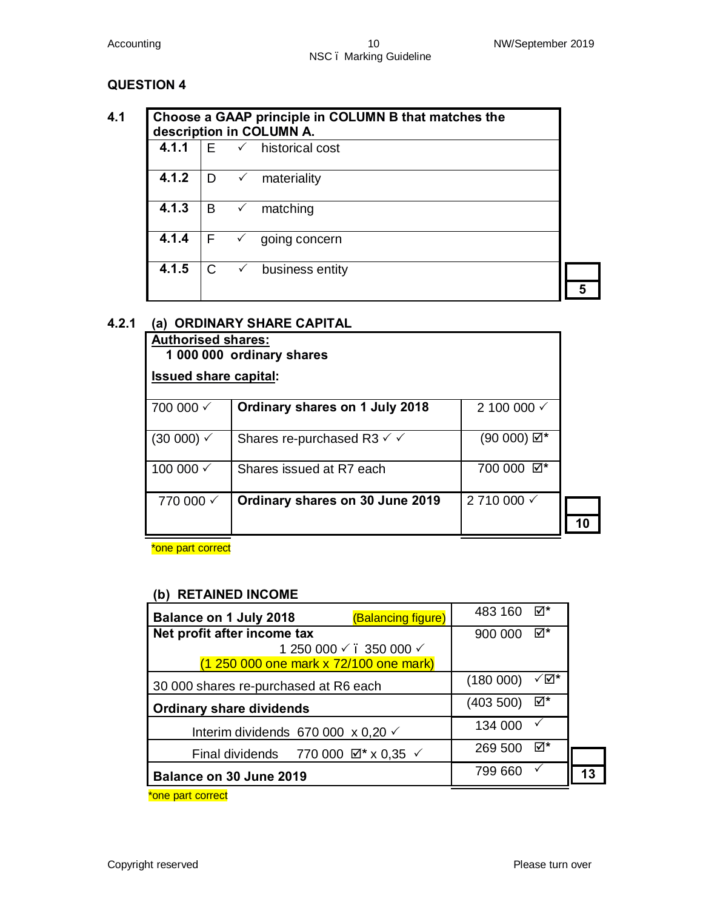|       | Choose a GAAP principle in COLUMN B that matches the<br>description in COLUMN A. |              |                              |  |
|-------|----------------------------------------------------------------------------------|--------------|------------------------------|--|
| 4.1.1 | E                                                                                |              | $\checkmark$ historical cost |  |
| 4.1.2 | D.                                                                               | $\checkmark$ | materiality                  |  |
| 4.1.3 | B                                                                                | $\checkmark$ | matching                     |  |
| 4.1.4 | F                                                                                |              | going concern                |  |
| 4.1.5 | C                                                                                |              | business entity              |  |
|       |                                                                                  |              |                              |  |

### **4.2.1 (a) ORDINARY SHARE CAPITAL**

| <b>Authorised shares:</b><br>1 000 000 ordinary shares |                                                  |                        |  |
|--------------------------------------------------------|--------------------------------------------------|------------------------|--|
| <b>Issued share capital:</b>                           |                                                  |                        |  |
| 700 000 √                                              | Ordinary shares on 1 July 2018                   | 2 100 000 $\checkmark$ |  |
| $(30 000) \checkmark$                                  | Shares re-purchased R3 $\checkmark$ $\checkmark$ | $(90000) \boxtimes^*$  |  |
| 100 000 √                                              | Shares issued at R7 each                         | 700 000 ☑*             |  |
| 770 000 $\checkmark$                                   | Ordinary shares on 30 June 2019                  | 2710 000 √             |  |

\*one part correct

#### **(b) RETAINED INCOME**

| <b>Balance on 1 July 2018</b><br>(Balancing figure)                                                                     | 483 160   | ⊠*  |  |
|-------------------------------------------------------------------------------------------------------------------------|-----------|-----|--|
| Net profit after income tax                                                                                             | 900 000   | ⊠*  |  |
| 1 250 000 √ . 350 000 √                                                                                                 |           |     |  |
| (1 250 000 one mark x 72/100 one mark)                                                                                  |           |     |  |
| 30 000 shares re-purchased at R6 each                                                                                   | (180 000) | √⊠* |  |
| <b>Ordinary share dividends</b>                                                                                         | (403 500) | ⊠*  |  |
| Interim dividends 670 000 $\times$ 0,20 $\times$                                                                        | 134 000   |     |  |
| Final dividends 770 000 $\boxtimes$ * x 0,35 $\checkmark$                                                               | 269 500   | ⊠*  |  |
| Balance on 30 June 2019                                                                                                 | 799 660   |     |  |
| <b>And the contract of the contract of the contract of the contract of the contract of the contract of the contract</b> |           |     |  |

\*one part correct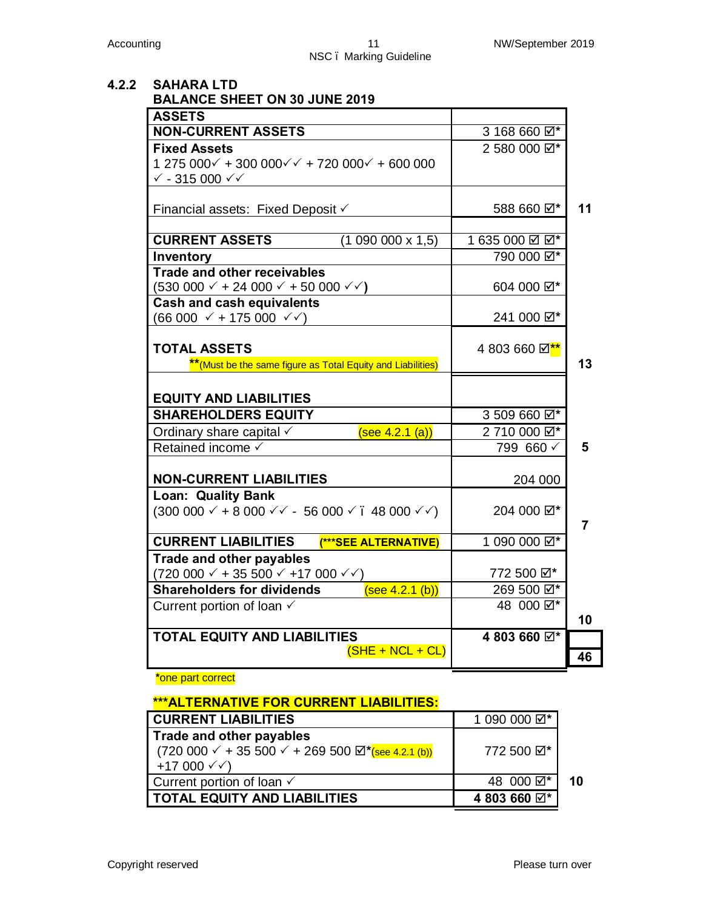#### **4.2.2 SAHARA LTD BALANCE SHEET ON 30 JUNE 2019**

| <b>ASSETS</b>                                                                      |                                   |    |
|------------------------------------------------------------------------------------|-----------------------------------|----|
| <b>NON-CURRENT ASSETS</b>                                                          | 3 168 660 $\boxtimes^*$           |    |
| <b>Fixed Assets</b>                                                                | 2 580 000 $\boxtimes^*$           |    |
| $1275000 + 30000000 + 7200000 + 600000$                                            |                                   |    |
| $\sqrt{-315000}$ $\sqrt{\sqrt{-1}}$                                                |                                   |    |
|                                                                                    |                                   |    |
| Financial assets: Fixed Deposit ✓                                                  | 588 660 ⊠*                        | 11 |
|                                                                                    |                                   |    |
| <b>CURRENT ASSETS</b><br>$(1090000 \times 1,5)$                                    | 1635000 ☑ ☑*                      |    |
| Inventory                                                                          | 790 000 2*                        |    |
| <b>Trade and other receivables</b>                                                 |                                   |    |
| $(530\ 000 \times + 24\ 000 \times + 50\ 000 \times)$                              | 604 000 ☑*                        |    |
| <b>Cash and cash equivalents</b>                                                   |                                   |    |
| $(66\,000 \; \sqrt{+175\,000 \; \sqrt{\sqrt{}}})$                                  | 241 000 Ø*                        |    |
|                                                                                    |                                   |    |
| <b>TOTAL ASSETS</b>                                                                | 4 803 660 Ø <sup>**</sup>         |    |
| ** (Must be the same figure as Total Equity and Liabilities)                       |                                   | 13 |
|                                                                                    |                                   |    |
| <b>EQUITY AND LIABILITIES</b>                                                      |                                   |    |
| <b>SHAREHOLDERS EQUITY</b>                                                         | 3 509 660 $\overline{\boxtimes*}$ |    |
| Ordinary share capital $\checkmark$<br>(see 4.2.1 (a))                             | 2710 000 2*                       |    |
| Retained income √                                                                  | 799 660 √                         | 5  |
|                                                                                    |                                   |    |
| <b>NON-CURRENT LIABILITIES</b>                                                     | 204 000                           |    |
| <b>Loan: Quality Bank</b>                                                          |                                   |    |
| $(300\ 000\ \text{×} + 8\ 000\ \text{×} - 56\ 000\ \text{×}$ . 48 000 $\text{×}$ ) | 204 000 Ø*                        |    |
|                                                                                    |                                   | 7  |
| <b>CURRENT LIABILITIES</b><br>(***SEE ALTERNATIVE)                                 | 1 090 000 ☑*                      |    |
| <b>Trade and other payables</b>                                                    |                                   |    |
| $(720\,000 \times + 35\,500 \times +17\,000 \times)$                               | 772 500 ☑*                        |    |
| <b>Shareholders for dividends</b><br>(see 4.2.1 (b))                               | 269 500 Ø*                        |    |
| 48 000 Ø*<br>Current portion of loan √                                             |                                   |    |
|                                                                                    |                                   | 10 |
| <b>TOTAL EQUITY AND LIABILITIES</b>                                                | 4 803 660 $\boxtimes^*$           |    |
|                                                                                    |                                   |    |
| $(SHE + NCL + CL)$                                                                 |                                   | 46 |

#### **\***one part correct

#### **\*\*\*ALTERNATIVE FOR CURRENT LIABILITIES:**

| <b>CURRENT LIABILITIES</b>                                      | 1 090 000 ☑*            |    |
|-----------------------------------------------------------------|-------------------------|----|
| Trade and other payables<br>+17 000 $\checkmark$ $\checkmark$ ) | 772 500 Ø*              |    |
| Current portion of loan $\checkmark$                            | 48 000 Ø*               | 10 |
| <b>TOTAL EQUITY AND LIABILITIES</b>                             | 4 803 660 $\boxtimes^*$ |    |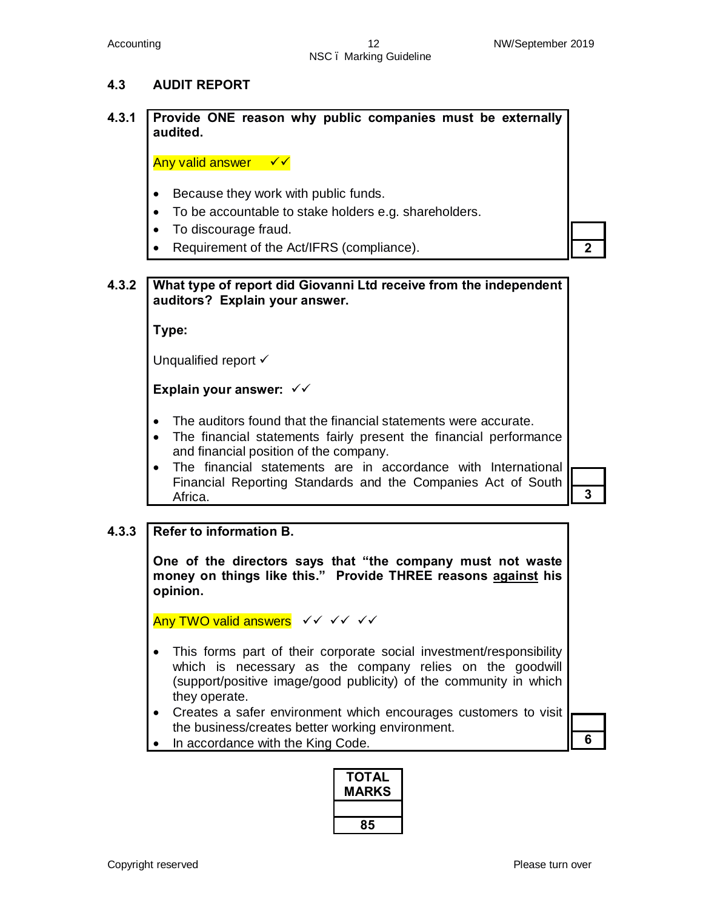#### **4.3 AUDIT REPORT**

**4.3.1 Provide ONE reason why public companies must be externally audited.**

Any valid answer  $\sqrt{x}$ 

- Because they work with public funds.
- · To be accountable to stake holders e.g. shareholders.
- · To discourage fraud.
- **Requirement of the Act/IFRS (compliance). 2**

#### **4.3.2 What type of report did Giovanni Ltd receive from the independent auditors? Explain your answer.**

**Type:** 

Unqualified report  $\checkmark$ 

**Explain your answer: ✓✓** 

- · The auditors found that the financial statements were accurate.
- The financial statements fairly present the financial performance and financial position of the company.
- · The financial statements are in accordance with International Financial Reporting Standards and the Companies Act of South Africa. **3 3**

#### **4.3.3 Refer to information B.**

**One of the directors says that "the company must not waste money on things like this." Provide THREE reasons against his opinion.**

Any TWO valid answers <del>√</del> <del>√</del> √ √ √ √ √

- · This forms part of their corporate social investment/responsibility which is necessary as the company relies on the goodwill (support/positive image/good publicity) of the community in which they operate.
- · Creates a safer environment which encourages customers to visit the business/creates better working environment.

In accordance with the King Code. **6** 

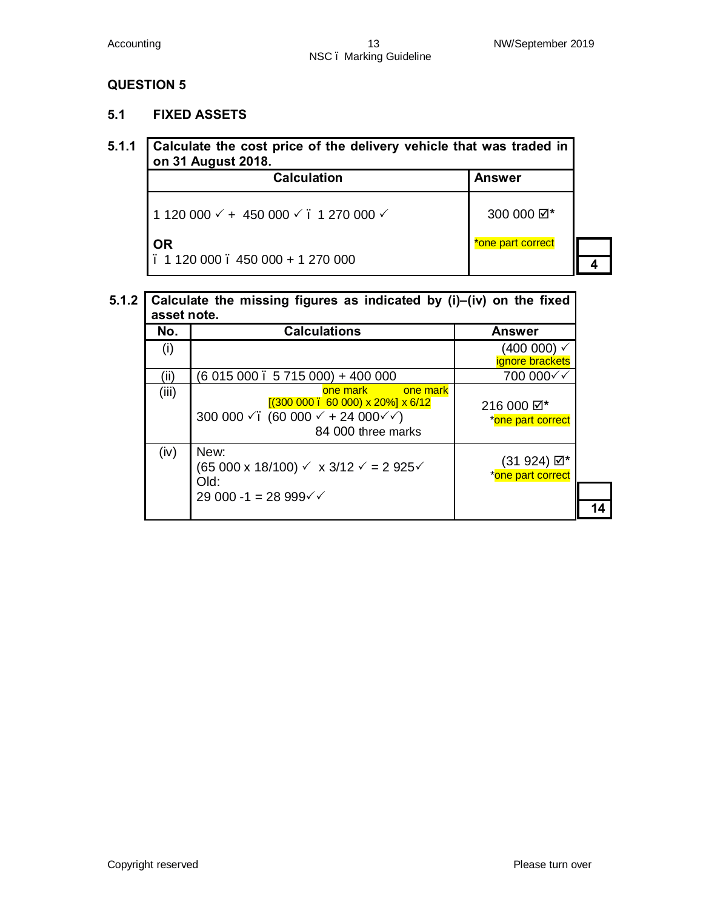#### **5.1 FIXED ASSETS**

#### **5.1.1 Calculate the cost price of the delivery vehicle that was traded in on 31 August 2018.**

| <b>Calculation</b>                                                     | <b>Answer</b>     |  |
|------------------------------------------------------------------------|-------------------|--|
| 1 120 000 $\checkmark$ + 450 000 $\checkmark$ . 1 270 000 $\checkmark$ | 300 000 Ø*        |  |
| <b>OR</b>                                                              | *one part correct |  |
| $. 1120000$ . 450 000 + 1 270 000                                      |                   |  |

#### **5.1.2 Calculate the missing figures as indicated by (i)–(iv) on the fixed asset note.**

| assel liule. |                                                                                                                                                          |                                  |
|--------------|----------------------------------------------------------------------------------------------------------------------------------------------------------|----------------------------------|
| No.          | <b>Calculations</b>                                                                                                                                      | <b>Answer</b>                    |
| (i)          |                                                                                                                                                          | (400 000) ✓<br>ignore brackets   |
| (ii)         | $(6015000.5715000) + 400000$                                                                                                                             | 700 000√√                        |
| (iii)        | one mark<br>one mark<br>[(300 000 0. 60 000) x 20%] x 6/12]<br>300 000 $\checkmark$ . (60 000 $\checkmark$ + 24 000 $\checkmark$ )<br>84 000 three marks | 216 000 ☑*<br>*one part correct  |
| (iv)         | New:<br>$(65\,000 \times 18/100) \times \times 3/12 \times 2925$<br>Old:                                                                                 | (31 924) ☑*<br>*one part correct |
|              | 29 000 -1 = 28 999 $\checkmark$                                                                                                                          |                                  |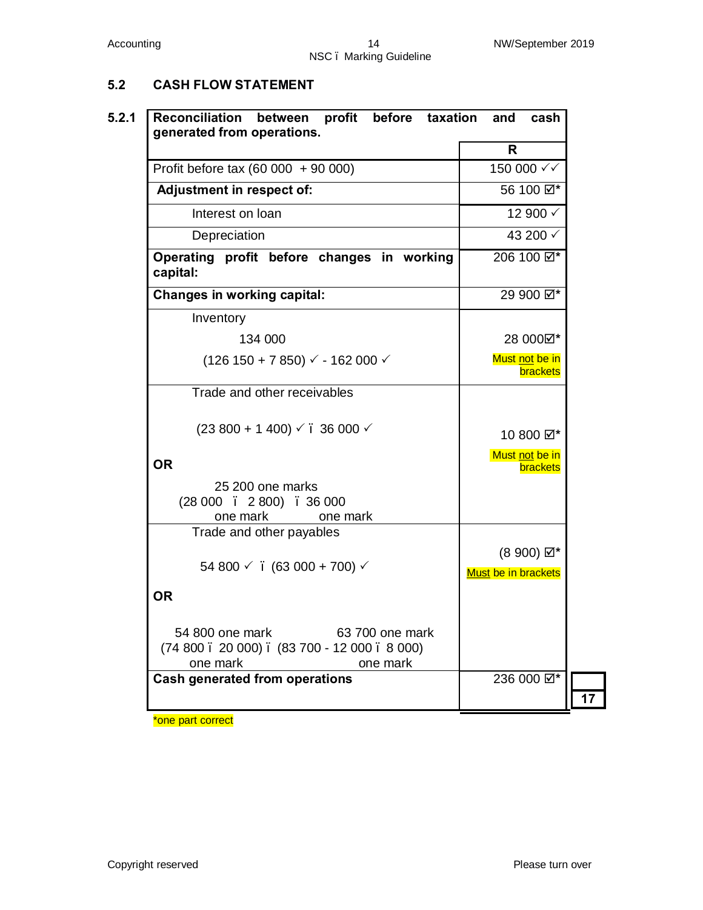# **5.2 CASH FLOW STATEMENT**

| generated from operations.                                                                                             | $\mathsf{R}$                                  |
|------------------------------------------------------------------------------------------------------------------------|-----------------------------------------------|
| Profit before tax (60 000 $+$ 90 000)                                                                                  | 150 000 √√                                    |
| Adjustment in respect of:                                                                                              | 56 100 Ø*                                     |
| Interest on loan                                                                                                       | 12 900 √                                      |
| Depreciation                                                                                                           | 43 200 √                                      |
| Operating profit before changes in working<br>capital:                                                                 | 206 100 $\boxtimes^*$                         |
| <b>Changes in working capital:</b>                                                                                     | 29 900 Ø*                                     |
| Inventory                                                                                                              |                                               |
| 134 000                                                                                                                | 28 0000 *                                     |
| $(126 150 + 7 850) \vee 162 000 \vee$                                                                                  | Must not be in<br><b>brackets</b>             |
| Trade and other receivables                                                                                            |                                               |
| $(23800 + 1400) \sqrt{}$ . 36 000 $\sqrt{}$                                                                            | 10 800 Ø*                                     |
| <b>OR</b>                                                                                                              | Must not be in<br>brackets                    |
| 25 200 one marks<br>$(28000 \t 2800) \t 36000$                                                                         |                                               |
| one mark<br>one mark                                                                                                   |                                               |
| Trade and other payables<br>54 800 $\checkmark$ . (63 000 + 700) $\checkmark$                                          | $(8900)$ $\boxtimes^*$<br>Must be in brackets |
| <b>OR</b>                                                                                                              |                                               |
| 54 800 one mark<br>63 700 one mark<br>$(74800 \cdot 20000)$ . $(83700 \cdot 12000 \cdot 8000)$<br>one mark<br>one mark |                                               |
| <b>Cash generated from operations</b>                                                                                  | 236 000 Ø*                                    |

\*one part correct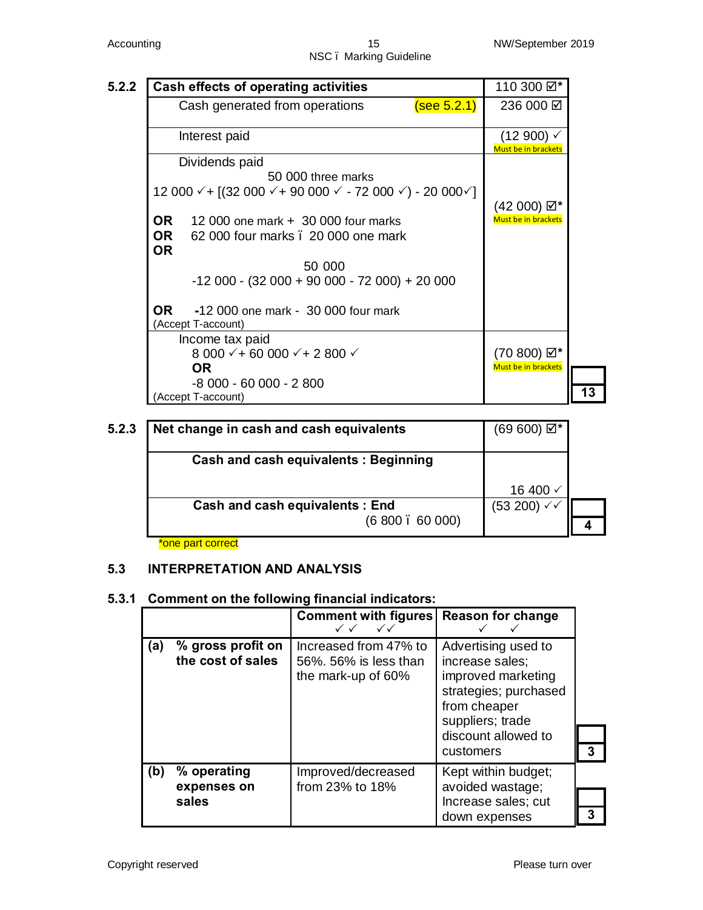#### Accounting 15 NW/September 2019 NSC – Marking Guideline

|           | Cash effects of operating activities                                                                              |             | 110 300 ☑*                                           |
|-----------|-------------------------------------------------------------------------------------------------------------------|-------------|------------------------------------------------------|
|           | Cash generated from operations                                                                                    | (see 5.2.1) | 236 000 ☑                                            |
|           | Interest paid                                                                                                     |             | $(12900)$ $\checkmark$<br><b>Must be in brackets</b> |
|           | Dividends paid                                                                                                    |             |                                                      |
|           | 50,000 three marks                                                                                                |             |                                                      |
|           | 12 000 $\checkmark$ + [(32 000 $\checkmark$ + 90 000 $\checkmark$ - 72 000 $\checkmark$ ) - 20 000 $\checkmark$ ] |             |                                                      |
|           |                                                                                                                   |             | (42 000) ☑*                                          |
| OR .      | 12 000 one mark $+$ 30 000 four marks                                                                             |             | <b>Must be in brackets</b>                           |
| <b>OR</b> | 62 000 four marks . 20 000 one mark                                                                               |             |                                                      |
| <b>OR</b> |                                                                                                                   |             |                                                      |
|           | 50 000                                                                                                            |             |                                                      |
|           | $-12000 - (32000 + 90000 - 72000) + 20000$                                                                        |             |                                                      |
| OR.       | -12 000 one mark - 30 000 four mark                                                                               |             |                                                      |
|           | (Accept T-account)                                                                                                |             |                                                      |
|           | Income tax paid                                                                                                   |             |                                                      |
|           | 8 000 $\checkmark$ + 60 000 $\checkmark$ + 2 800 $\checkmark$                                                     |             | (70 800) ☑*                                          |
|           | <b>OR</b>                                                                                                         |             | <b>Must be in brackets</b>                           |
|           | -8 000 - 60 000 - 2 800                                                                                           |             |                                                      |
|           | (Accept T-account)                                                                                                |             |                                                      |

| 5.2.3 | Net change in cash and cash equivalents     | $(69 600)$ $\boxtimes^*$ |  |
|-------|---------------------------------------------|--------------------------|--|
|       | <b>Cash and cash equivalents: Beginning</b> |                          |  |
|       |                                             | 16 400 √                 |  |
|       | <b>Cash and cash equivalents: End</b>       | $(53 200)$ $\checkmark$  |  |
|       | (6800.6000)                                 |                          |  |

\*one part correct

#### **5.3 INTERPRETATION AND ANALYSIS**

#### **5.3.1 Comment on the following financial indicators:**

|     |                                        | <b>Comment with figures</b><br>$\checkmark$<br>$\checkmark$ $\checkmark$ | <b>Reason for change</b>                                                                                                                                      |   |
|-----|----------------------------------------|--------------------------------------------------------------------------|---------------------------------------------------------------------------------------------------------------------------------------------------------------|---|
| (a) | % gross profit on<br>the cost of sales | Increased from 47% to<br>56%. 56% is less than<br>the mark-up of 60%     | Advertising used to<br>increase sales:<br>improved marketing<br>strategies; purchased<br>from cheaper<br>suppliers; trade<br>discount allowed to<br>customers | 3 |
| (b) | % operating<br>expenses on             | Improved/decreased<br>from 23% to 18%                                    | Kept within budget;<br>avoided wastage;                                                                                                                       |   |
|     | sales                                  |                                                                          | Increase sales; cut                                                                                                                                           |   |
|     |                                        |                                                                          | down expenses                                                                                                                                                 |   |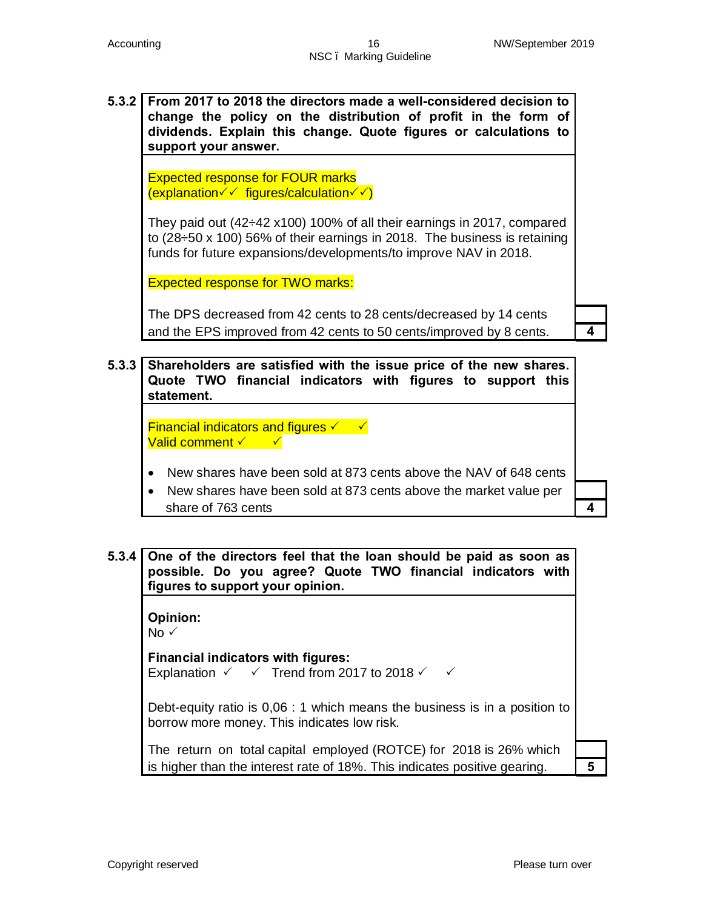**5.3.2 From 2017 to 2018 the directors made a well-considered decision to change the policy on the distribution of profit in the form of dividends. Explain this change. Quote figures or calculations to support your answer.**

Expected response for FOUR marks  $\overline{(explanation \checkmark \checkmark \mathrm{ figures/calculation} \checkmark \checkmark)}$ 

They paid out (42÷42 x100) 100% of all their earnings in 2017, compared to (28÷50 x 100) 56% of their earnings in 2018. The business is retaining funds for future expansions/developments/to improve NAV in 2018.

Expected response for TWO marks:

The DPS decreased from 42 cents to 28 cents/decreased by 14 cents and the EPS improved from 42 cents to 50 cents/improved by 8 cents. **4**

**5.3.3 Shareholders are satisfied with the issue price of the new shares. Quote TWO financial indicators with figures to support this statement.**

Financial indicators and figures  $\checkmark$   $\checkmark$ **Valid comment** <del>V</del> → <del>V</del>

- · New shares have been sold at 873 cents above the NAV of 648 cents
- · New shares have been sold at 873 cents above the market value per share of 763 cents **4**

**5.3.4 One of the directors feel that the loan should be paid as soon as possible. Do you agree? Quote TWO financial indicators with figures to support your opinion.**

**Opinion:**

 $No \checkmark$ 

**Financial indicators with figures:**

Explanation  $\checkmark$   $\checkmark$  Trend from 2017 to 2018  $\checkmark$   $\checkmark$ 

Debt-equity ratio is 0,06 : 1 which means the business is in a position to borrow more money. This indicates low risk.

The return on total capital employed (ROTCE) for 2018 is 26% which is higher than the interest rate of 18%. This indicates positive gearing. **5**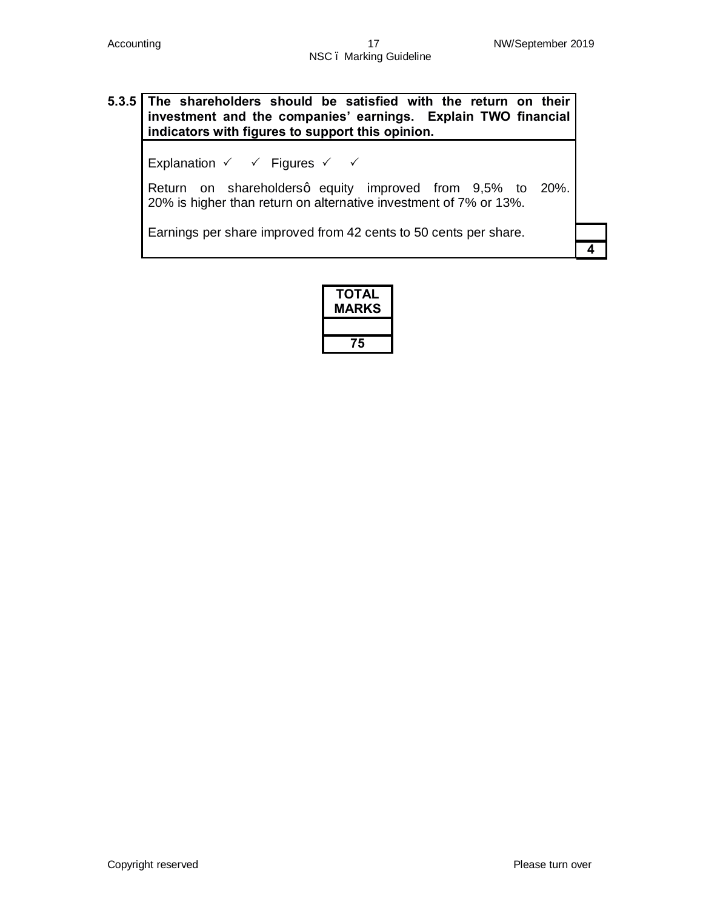# **5.3.5 The shareholders should be satisfied with the return on their investment and the companies' earnings. Explain TWO financial indicators with figures to support this opinion.**

Explanation  $\checkmark$   $\checkmark$  Figures  $\checkmark$   $\checkmark$ 

Return on shareholdersq equity improved from 9,5% to 20%. 20% is higher than return on alternative investment of 7% or 13%.

Earnings per share improved from 42 cents to 50 cents per share.

| ΤΟΤΑL<br><b>MARKS</b> |
|-----------------------|
| 75                    |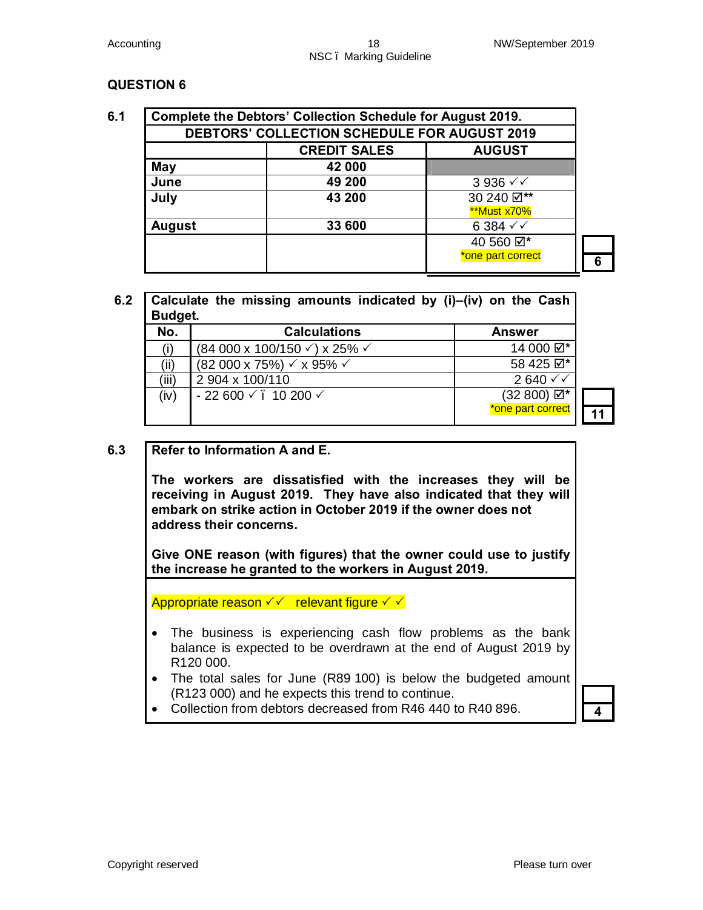|               | DEBTORS' COLLECTION SCHEDULE FOR AUGUST 2019 |                   |  |  |  |  |  |  |  |
|---------------|----------------------------------------------|-------------------|--|--|--|--|--|--|--|
|               | <b>CREDIT SALES</b>                          | <b>AUGUST</b>     |  |  |  |  |  |  |  |
| May           | 42 000                                       |                   |  |  |  |  |  |  |  |
| June          | 49 200                                       | $3936 \sqrt{2}$   |  |  |  |  |  |  |  |
| July          | 43 200                                       | 30 240 Ø**        |  |  |  |  |  |  |  |
|               |                                              | **Must x70%       |  |  |  |  |  |  |  |
| <b>August</b> | 33 600                                       | $6384 \sqrt{}$    |  |  |  |  |  |  |  |
|               |                                              | 40 560 2          |  |  |  |  |  |  |  |
|               |                                              | *one part correct |  |  |  |  |  |  |  |

# **6.2 Calculate the missing amounts indicated by (i)–(iv) on the Cash Budget.**

| No.   | <b>Calculations</b>                                   | <b>Answer</b>          |                 |
|-------|-------------------------------------------------------|------------------------|-----------------|
|       | $(84\ 000\ x\ 100/150\ \sqrt{x})\ x\ 25\% \ \sqrt{x}$ | 14 000 Ø*              |                 |
| ʻii`  | $(82000 \times 75\%) \times 95\% \times$              | 58 425 $\boxtimes^*$   |                 |
| 'iii) | 2 904 x 100/110                                       | $2640 \sqrt{}$         |                 |
| (iv)  | $-22600 \times 10200 \times$                          | $(32 800) \boxtimes^*$ |                 |
|       |                                                       | *one part correct      | $\overline{11}$ |

### **6.3 Refer to Information A and E.**

**The workers are dissatisfied with the increases they will be receiving in August 2019. They have also indicated that they will embark on strike action in October 2019 if the owner does not address their concerns.**

**Give ONE reason (with figures) that the owner could use to justify the increase he granted to the workers in August 2019.**

Appropriate reason  $\checkmark$  relevant figure  $\checkmark$   $\checkmark$ 

- The business is experiencing cash flow problems as the bank balance is expected to be overdrawn at the end of August 2019 by R120 000.
- · The total sales for June (R89 100) is below the budgeted amount (R123 000) and he expects this trend to continue.
- · Collection from debtors decreased from R46 440 to R40 896. **4**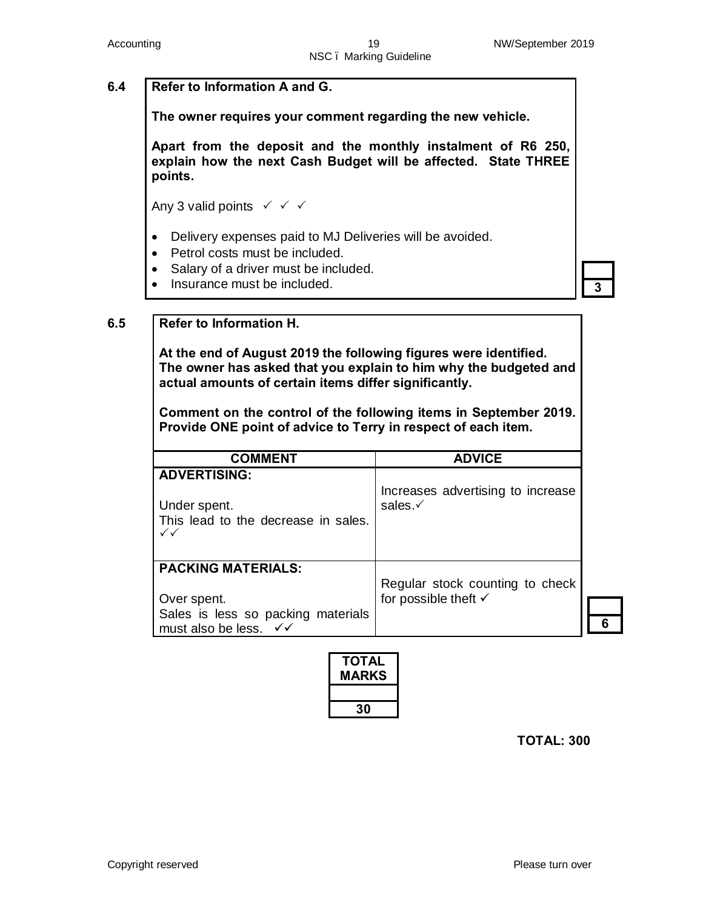### **6.4 Refer to Information A and G.**

**The owner requires your comment regarding the new vehicle.**

**Apart from the deposit and the monthly instalment of R6 250, explain how the next Cash Budget will be affected. State THREE points.**

Any 3 valid points  $\checkmark$   $\checkmark$   $\checkmark$ 

- · Delivery expenses paid to MJ Deliveries will be avoided.
- Petrol costs must be included.
- · Salary of a driver must be included.
- Insurance must be included. **3**
- 

#### **6.5 Refer to Information H.**

**At the end of August 2019 the following figures were identified. The owner has asked that you explain to him why the budgeted and actual amounts of certain items differ significantly.** 

**Comment on the control of the following items in September 2019. Provide ONE point of advice to Terry in respect of each item.**

| <b>COMMENT</b>                                                                                                              | <b>ADVICE</b>                                                      |
|-----------------------------------------------------------------------------------------------------------------------------|--------------------------------------------------------------------|
| <b>ADVERTISING:</b><br>Under spent.<br>This lead to the decrease in sales.<br>$\checkmark$                                  | Increases advertising to increase<br>sales. $\checkmark$           |
| <b>PACKING MATERIALS:</b><br>Over spent.<br>Sales is less so packing materials<br>must also be less. $\checkmark\checkmark$ | Regular stock counting to check<br>for possible theft $\checkmark$ |

| ΤΟΤΑL<br><b>MARKS</b> |
|-----------------------|
|                       |
| 30                    |

 **TOTAL: 300**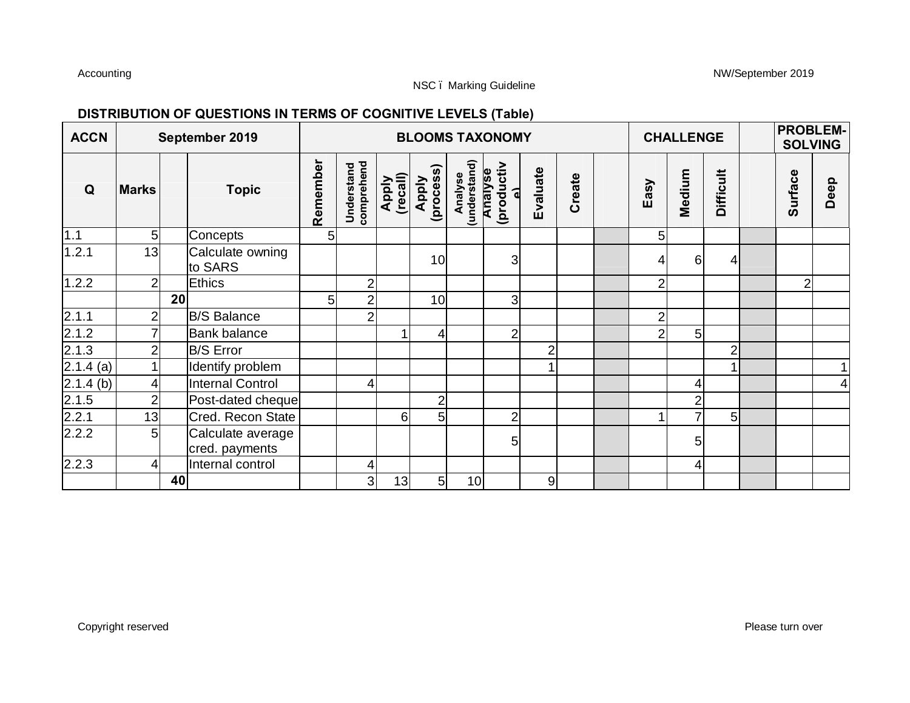Accounting NW/September 2019

## **DISTRIBUTION OF QUESTIONS IN TERMS OF COGNITIVE LEVELS (Table)**

| <b>ACCN</b>        |                |    | September 2019                      |                |                                 |                   |                    |                                    | <b>BLOOMS TAXONOMY</b>       |                  |        |                | <b>CHALLENGE</b> |                  | <b>PROBLEM-</b><br><b>SOLVING</b> |                |              |
|--------------------|----------------|----|-------------------------------------|----------------|---------------------------------|-------------------|--------------------|------------------------------------|------------------------------|------------------|--------|----------------|------------------|------------------|-----------------------------------|----------------|--------------|
| Q                  | <b>Marks</b>   |    | <b>Topic</b>                        | Remember       | <b>Understand</b><br>comprehend | Apply<br>(recall) | Apply<br>(process) | Analyse<br>(understand)<br>Analyse | (productiv<br>$\overline{a}$ | Evaluate         | Create | Easy           | Medium           | <b>Difficult</b> |                                   | <b>Surface</b> | Deep         |
| 1.1                | 5              |    | Concepts                            | 5 <sub>5</sub> |                                 |                   |                    |                                    |                              |                  |        | 5              |                  |                  |                                   |                |              |
| 1.2.1              | 13             |    | Calculate owning<br>to SARS         |                |                                 |                   | 10                 |                                    | 3 <sup>1</sup>               |                  |        | 4              | 6                |                  |                                   |                |              |
| 1.2.2              | $\overline{2}$ |    | <b>Ethics</b>                       |                | 2                               |                   |                    |                                    |                              |                  |        | $\overline{2}$ |                  |                  |                                   | 2              |              |
|                    |                | 20 |                                     | 5 <sup>1</sup> | $\overline{2}$                  |                   | 10                 |                                    | $\overline{3}$               |                  |        |                |                  |                  |                                   |                |              |
| 2.1.1              | 2              |    | <b>B/S Balance</b>                  |                | $\overline{2}$                  |                   |                    |                                    |                              |                  |        | 2              |                  |                  |                                   |                |              |
| 2.1.2              |                |    | <b>Bank balance</b>                 |                |                                 | 1                 | $\overline{4}$     |                                    | $\overline{2}$               |                  |        | 2              | 5                |                  |                                   |                |              |
| 2.1.3              | $\overline{2}$ |    | <b>B/S Error</b>                    |                |                                 |                   |                    |                                    |                              | $\overline{2}$   |        |                |                  | 2                |                                   |                |              |
| $\sqrt{2.1.4}$ (a) |                |    | Identify problem                    |                |                                 |                   |                    |                                    |                              | 1                |        |                |                  |                  |                                   |                | $\mathbf{1}$ |
| $2.1.4$ (b)        | 4              |    | <b>Internal Control</b>             |                | 4                               |                   |                    |                                    |                              |                  |        |                | 4                |                  |                                   |                | 4            |
| 2.1.5              | $\overline{2}$ |    | Post-dated cheque                   |                |                                 |                   | $\overline{2}$     |                                    |                              |                  |        |                | $\overline{2}$   |                  |                                   |                |              |
| 2.2.1              | 13             |    | Cred. Recon State                   |                |                                 | 6 <sup>1</sup>    | 5 <sub>l</sub>     |                                    | $\overline{2}$               |                  |        |                | $\overline{7}$   | $5 \mid$         |                                   |                |              |
| 2.2.2              | 5              |    | Calculate average<br>cred. payments |                |                                 |                   |                    |                                    | 5                            |                  |        |                | 5                |                  |                                   |                |              |
| 2.2.3              | 4              |    | Internal control                    |                | 4                               |                   |                    |                                    |                              |                  |        |                | 4                |                  |                                   |                |              |
|                    |                | 40 |                                     |                | 3 <sup>1</sup>                  | 13                | $5 \mid$           | 10                                 |                              | $\boldsymbol{9}$ |        |                |                  |                  |                                   |                |              |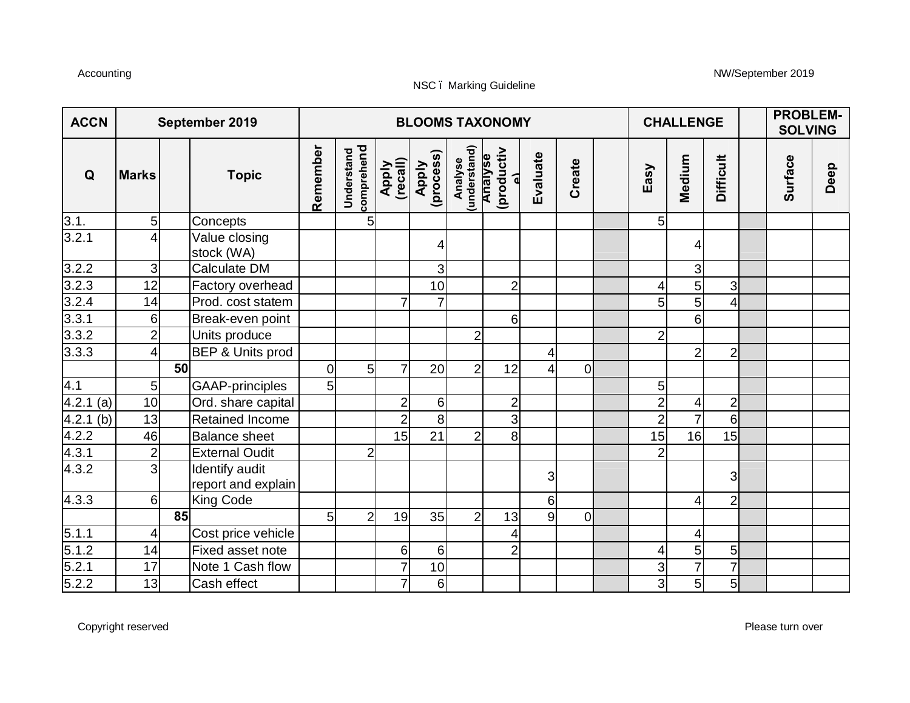#### Accounting NW/September 2019

| <b>ACCN</b>           |                  |                 | September 2019                       |                |                          |                   |                    |                         | <b>BLOOMS TAXONOMY</b>                  |                |                | <b>CHALLENGE</b> |                         |                  | <b>PROBLEM-</b><br><b>SOLVING</b> |      |  |
|-----------------------|------------------|-----------------|--------------------------------------|----------------|--------------------------|-------------------|--------------------|-------------------------|-----------------------------------------|----------------|----------------|------------------|-------------------------|------------------|-----------------------------------|------|--|
| Q                     | <b>Marks</b>     |                 | <b>Topic</b>                         | Remember       | comprehend<br>Understand | Apply<br>(recall) | Apply<br>(process) | Analyse<br>(understand) | (productiv<br>Analyse<br>$\overline{a}$ | Evaluate       | Create         | Easy             | Medium                  | <b>Difficult</b> | Surface                           | Deep |  |
| $\frac{3.1}{3.2.1}$   | 5 <sup>1</sup>   |                 | Concepts                             |                | 5 <sub>l</sub>           |                   |                    |                         |                                         |                |                | 5 <sub>l</sub>   |                         |                  |                                   |      |  |
|                       | 4                |                 | Value closing<br>stock (WA)          |                |                          |                   |                    |                         |                                         |                |                |                  | 4                       |                  |                                   |      |  |
| 3.2.2                 | $\overline{3}$   |                 | Calculate DM                         |                |                          |                   | 3                  |                         |                                         |                |                |                  | 3                       |                  |                                   |      |  |
| $\frac{3.2.3}{3.2.4}$ | 12               |                 | Factory overhead                     |                |                          |                   | 10                 |                         | $\overline{2}$                          |                |                | 4                | 5 <sup>1</sup>          | $\overline{3}$   |                                   |      |  |
|                       | 14               |                 | Prod. cost statem                    |                |                          | 7                 | $\overline{7}$     |                         |                                         |                |                | 5                | 5 <sup>1</sup>          | 4                |                                   |      |  |
| 3.3.1                 | 6                |                 | Break-even point                     |                |                          |                   |                    |                         | 6                                       |                |                |                  | 6 <sup>1</sup>          |                  |                                   |      |  |
| 3.3.2                 | $\overline{2}$   |                 | Units produce                        |                |                          |                   |                    | $\overline{2}$          |                                         |                |                | $\overline{2}$   |                         |                  |                                   |      |  |
| 3.3.3                 | $\overline{4}$   |                 | BEP & Units prod                     |                |                          |                   |                    |                         |                                         | 4              |                |                  | $\overline{2}$          | $\overline{2}$   |                                   |      |  |
|                       |                  | 50              |                                      | $\overline{0}$ | 5 <sub>l</sub>           | $\overline{7}$    | 20                 | $\overline{2}$          | 12                                      | $\overline{4}$ | $\overline{0}$ |                  |                         |                  |                                   |      |  |
| 4.1                   | $5\overline{)}$  |                 | GAAP-principles                      | 5 <sub>l</sub> |                          |                   |                    |                         |                                         |                |                | 5                |                         |                  |                                   |      |  |
| 4.2.1(a)              | 10               |                 | Ord. share capital                   |                |                          | $\overline{2}$    | 6                  |                         | $\overline{c}$                          |                |                | $\overline{2}$   | 4                       | $\overline{2}$   |                                   |      |  |
| 4.2.1(b)              | 13               |                 | Retained Income                      |                |                          | $\overline{2}$    | $\bf{8}$           |                         | 3                                       |                |                | $\overline{2}$   | $\overline{7}$          | $6 \overline{6}$ |                                   |      |  |
| 4.2.2                 | 46               |                 | <b>Balance sheet</b>                 |                |                          | 15                | 21                 | $\overline{2}$          | 8 <sup>1</sup>                          |                |                | 15               | 16                      | 15               |                                   |      |  |
| 4.3.1                 | $\overline{2}$   |                 | <b>External Oudit</b>                |                | 2                        |                   |                    |                         |                                         |                |                | 2                |                         |                  |                                   |      |  |
| 4.3.2                 | $\overline{3}$   |                 | Identify audit<br>report and explain |                |                          |                   |                    |                         |                                         | 3              |                |                  |                         | $\overline{3}$   |                                   |      |  |
| 4.3.3                 | $6 \overline{6}$ |                 | King Code                            |                |                          |                   |                    |                         |                                         | 6              |                |                  | $\overline{4}$          | $\overline{2}$   |                                   |      |  |
|                       |                  | $\overline{85}$ |                                      | 5 <sup>1</sup> | $\overline{2}$           | 19                | 35                 | $\overline{2}$          | 13                                      | 9              | $\Omega$       |                  |                         |                  |                                   |      |  |
| $\frac{5.1.1}{5.1.2}$ | 4                |                 | Cost price vehicle                   |                |                          |                   |                    |                         | 4                                       |                |                |                  | $\overline{\mathbf{4}}$ |                  |                                   |      |  |
|                       | 14               |                 | Fixed asset note                     |                |                          | 6                 | 6                  |                         | $\overline{2}$                          |                |                | 4                | 5                       | $5\overline{)}$  |                                   |      |  |
| 5.2.1                 | $\overline{17}$  |                 | Note 1 Cash flow                     |                |                          | $\overline{7}$    | 10                 |                         |                                         |                |                | 3                | $\overline{7}$          | $\overline{7}$   |                                   |      |  |
| 5.2.2                 | 13               |                 | Cash effect                          |                |                          | $\overline{7}$    | $6 \overline{6}$   |                         |                                         |                |                | $\overline{3}$   | $\overline{5}$          | 5 <sup>1</sup>   |                                   |      |  |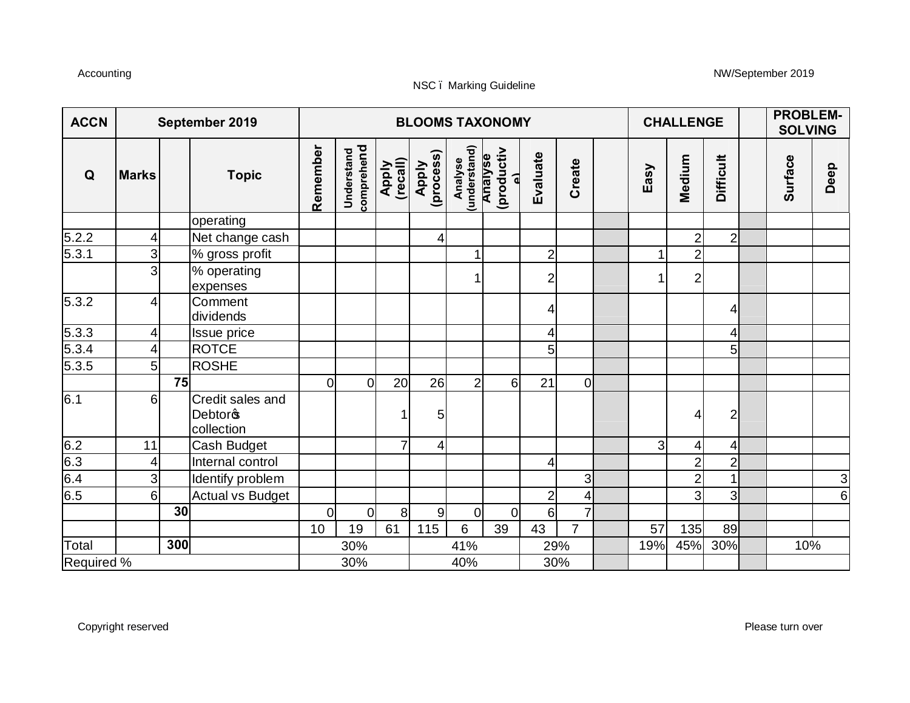#### Accounting NW/September 2019

| <b>ACCN</b> |                |     | September 2019                                        |                |                          |                   |                    |                         | <b>BLOOMS TAXONOMY</b>                  |                |                |      | <b>CHALLENGE</b> |                  | <b>PROBLEM-</b><br><b>SOLVING</b> |               |  |
|-------------|----------------|-----|-------------------------------------------------------|----------------|--------------------------|-------------------|--------------------|-------------------------|-----------------------------------------|----------------|----------------|------|------------------|------------------|-----------------------------------|---------------|--|
| Q           | <b>Marks</b>   |     | <b>Topic</b>                                          | Remember       | comprehend<br>Understand | Apply<br>(recall) | Apply<br>(process) | Analyse<br>(understand) | (productiv<br>Analyse<br>$\overline{a}$ | Evaluate       | Create         | Easy | Medium           | <b>Difficult</b> | Surface                           | Deep          |  |
|             |                |     | operating                                             |                |                          |                   |                    |                         |                                         |                |                |      |                  |                  |                                   |               |  |
| 5.2.2       | 4              |     | Net change cash                                       |                |                          |                   | 4                  |                         |                                         |                |                |      | $\overline{2}$   | $\overline{2}$   |                                   |               |  |
| 5.3.1       | 3              |     | % gross profit                                        |                |                          |                   |                    | 1                       |                                         | $\overline{c}$ |                |      | $\overline{2}$   |                  |                                   |               |  |
|             | 3              |     | % operating<br>expenses                               |                |                          |                   |                    |                         |                                         | $\overline{c}$ |                |      | 2 <sub>l</sub>   |                  |                                   |               |  |
| 5.3.2       | 4              |     | Comment<br>dividends                                  |                |                          |                   |                    |                         |                                         | 4              |                |      |                  | 4                |                                   |               |  |
| 5.3.3       | 4              |     | Issue price                                           |                |                          |                   |                    |                         |                                         | 4              |                |      |                  | 4                |                                   |               |  |
| 5.3.4       | $\overline{4}$ |     | <b>ROTCE</b>                                          |                |                          |                   |                    |                         |                                         | 5              |                |      |                  | 5 <sub>l</sub>   |                                   |               |  |
| 5.3.5       | 5              |     | <b>ROSHE</b>                                          |                |                          |                   |                    |                         |                                         |                |                |      |                  |                  |                                   |               |  |
|             |                | 75  |                                                       | <sub>0</sub>   | $\overline{0}$           | 20                | 26                 | $\overline{2}$          | 6                                       | 21             | 0l             |      |                  |                  |                                   |               |  |
| 6.1         | 6              |     | Credit sales and<br>Debtor <sub>®</sub><br>collection |                |                          |                   | 5                  |                         |                                         |                |                |      | 4                | $\overline{2}$   |                                   |               |  |
| 6.2         | 11             |     | Cash Budget                                           |                |                          | $\overline{7}$    | 4                  |                         |                                         |                |                | 3    | $\vert 4 \vert$  | 4                |                                   |               |  |
| 6.3         | 4              |     | Internal control                                      |                |                          |                   |                    |                         |                                         | $\overline{4}$ |                |      | $\overline{2}$   | $\overline{2}$   |                                   |               |  |
| 6.4         | 3              |     | Identify problem                                      |                |                          |                   |                    |                         |                                         |                | $\overline{3}$ |      | $\overline{2}$   | 1                |                                   | $\frac{3}{6}$ |  |
| 6.5         | 6              |     | <b>Actual vs Budget</b>                               |                |                          |                   |                    |                         |                                         | $\overline{c}$ | 4              |      | $\overline{3}$   | 3 <sup>l</sup>   |                                   |               |  |
|             |                | 30  |                                                       | $\overline{0}$ | $\overline{0}$           | 8 <sup>1</sup>    | 9                  | $\overline{0}$          | $\overline{0}$                          | 6              | $\overline{7}$ |      |                  |                  |                                   |               |  |
|             |                |     |                                                       | 10             | 19                       | 61                | 115                | 6                       | 39                                      | 43             | $\overline{7}$ | 57   | 135              | 89               |                                   |               |  |
| Total       |                | 300 |                                                       |                | 30%                      |                   |                    | 41%                     |                                         |                | 29%            | 19%  | 45%              | 30%              | 10%                               |               |  |
| Required %  |                |     |                                                       |                | 30%                      |                   |                    | 40%                     |                                         |                | 30%            |      |                  |                  |                                   |               |  |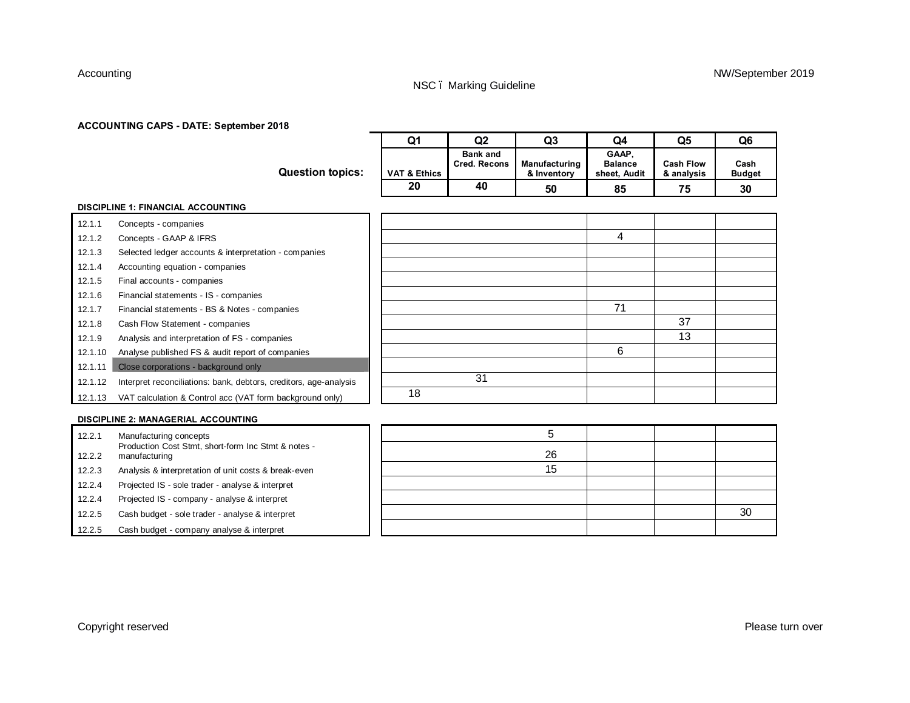#### **ACCOUNTING CAPS - DATE: September 2018**

|         |                                                                               | Q <sub>1</sub>          | Q2                                     | Q <sub>3</sub>               | Q4                                      | Q <sub>5</sub>                 | Q <sub>6</sub>        |
|---------|-------------------------------------------------------------------------------|-------------------------|----------------------------------------|------------------------------|-----------------------------------------|--------------------------------|-----------------------|
|         | <b>Question topics:</b>                                                       | <b>VAT &amp; Ethics</b> | <b>Bank and</b><br><b>Cred. Recons</b> | Manufacturing<br>& Inventory | GAAP.<br><b>Balance</b><br>sheet, Audit | <b>Cash Flow</b><br>& analysis | Cash<br><b>Budget</b> |
|         |                                                                               | 20                      | 40                                     | 50                           | 85                                      | 75                             | 30                    |
|         | <b>DISCIPLINE 1: FINANCIAL ACCOUNTING</b>                                     |                         |                                        |                              |                                         |                                |                       |
| 12.1.1  | Concepts - companies                                                          |                         |                                        |                              |                                         |                                |                       |
| 12.1.2  | Concepts - GAAP & IFRS                                                        |                         |                                        |                              | 4                                       |                                |                       |
| 12.1.3  | Selected ledger accounts & interpretation - companies                         |                         |                                        |                              |                                         |                                |                       |
| 12.1.4  | Accounting equation - companies                                               |                         |                                        |                              |                                         |                                |                       |
| 12.1.5  | Final accounts - companies                                                    |                         |                                        |                              |                                         |                                |                       |
| 12.1.6  | Financial statements - IS - companies                                         |                         |                                        |                              |                                         |                                |                       |
| 12.1.7  | Financial statements - BS & Notes - companies                                 |                         |                                        |                              | 71                                      |                                |                       |
| 12.1.8  | Cash Flow Statement - companies                                               |                         |                                        |                              |                                         | 37                             |                       |
| 12.1.9  | Analysis and interpretation of FS - companies                                 |                         |                                        |                              |                                         | 13                             |                       |
| 12.1.10 | Analyse published FS & audit report of companies                              |                         |                                        |                              | 6                                       |                                |                       |
| 12.1.11 | Close corporations - background only                                          |                         |                                        |                              |                                         |                                |                       |
| 12.1.12 | Interpret reconciliations: bank, debtors, creditors, age-analysis             |                         | 31                                     |                              |                                         |                                |                       |
| 12.1.13 | VAT calculation & Control acc (VAT form background only)                      | 18                      |                                        |                              |                                         |                                |                       |
|         |                                                                               |                         |                                        |                              |                                         |                                |                       |
|         | <b>DISCIPLINE 2: MANAGERIAL ACCOUNTING</b>                                    |                         |                                        |                              |                                         |                                |                       |
| 12.2.1  | Manufacturing concepts<br>Production Cost Stmt, short-form Inc Stmt & notes - |                         |                                        | 5                            |                                         |                                |                       |
| 12.2.2  | manufacturing                                                                 |                         |                                        | 26                           |                                         |                                |                       |
| 12.2.3  | Analysis & interpretation of unit costs & break-even                          |                         |                                        | 15                           |                                         |                                |                       |
| 12.2.4  | Projected IS - sole trader - analyse & interpret                              |                         |                                        |                              |                                         |                                |                       |
| 12.2.4  | Projected IS - company - analyse & interpret                                  |                         |                                        |                              |                                         |                                |                       |
| 12.2.5  | Cash budget - sole trader - analyse & interpret                               |                         |                                        |                              |                                         |                                | 30                    |

12.2.5 Cash budget - company analyse & interpret